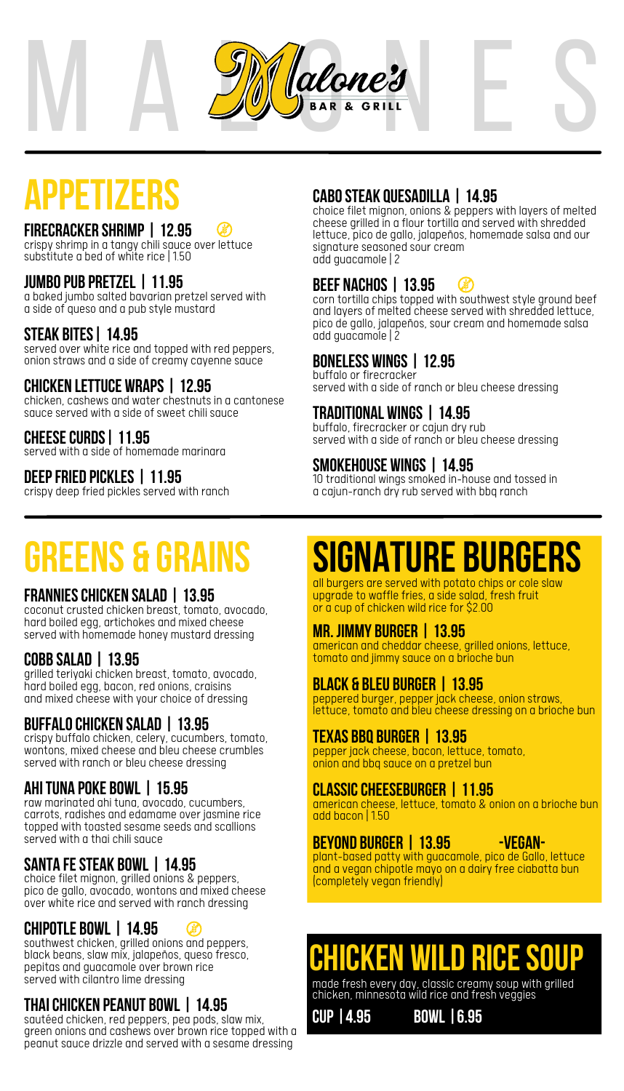

### **FIRECRACKER SHRIMP | 12.95**

crispyshrimp in a tangy chili sauce over lettuce substitute a bed of white rice | 1.50

### **jumbopub pretzel | 11.95**

a baked jumbo salted bavarian pretzel served with a side of queso and a pub style mustard

### **steak bites| 14.95**

served over white rice and topped with red peppers, onion straws and a side of creamy cayenne sauce

### **CHICKEN LETTUCE WRAPS | 12.95**

chicken, cashews and water chestnuts in a cantonese sauce served with a side of sweet chili sauce

### **cheesecurds| 11.95**

served with a side of homemade marinara

### **deepfried pickles | 11.95**

crispy deep fried pickles served with ranch

### **APPETIZERS cabosteak quesadilla <sup>|</sup> 14.95**

choice filet mignon, onions & peppers with layers of melted cheese grilled in a flour tortilla and served with shredded lettuce, pico de gallo, jalapeños, homemade salsa and our signature seasoned sour cream add guacamole |2

#### **beef nachos | 13.95**  $\left( \mathbf{r} \right)$

corn tortilla chips topped with southwest style ground beef and layers of melted cheese served with shredded lettuce, pico de gallo, jalapeños, sour cream and homemade salsa add guacamole |2

### **boneless wings | 12.95**

buffalo or firecracker served with a side of ranch or bleu cheese dressing

### **Traditional Wings | 14.95**

buffalo, firecracker or cajun dry rub served with a side of ranch or bleu cheese dressing

### **SMOKEHOUSE WINGS | 14.95**

10 traditional wings smoked in-house and tossed in a cajun-ranch dry rub served with bbq ranch

## **greens & Grains**

### **FRANNIESCHICKEN SALAD | 13.95**

coconut crusted chicken breast, tomato, avocado, hard boiled egg, artichokes and mixed cheese served with homemade honey mustard dressing

### **COBB SALAD | 13.95**

grilled teriyaki chicken breast, tomato, avocado, hard boiled egg, bacon, red onions, craisins and mixed cheese with your choice of dressing

### **BUFFALOchicken Salad | 13.95**

crispy buffalo chicken, celery, cucumbers, tomato, wontons, mixed cheese and bleu cheese crumbles served with ranch or bleu cheese dressing

### **AHITUNA POKE BOWL | 15.95**

raw marinated ahi tuna, avocado, cucumbers, carrots, radishes and edamame over jasmine rice topped with toasted sesame seeds and scallions served with a thai chili sauce

### **SANTA FESTEAK BOWL | 14.95**

choice filet mignon, grilled onions & peppers, pico de gallo, avocado, wontons and mixed cheese over white rice and served with ranch dressing

### **CHIPOTLE BOWL | 14.95**

southwest chicken, grilled onions and peppers, black beans, slaw mix, jalapeños, queso fresco, pepitas and guacamole over brown rice served with cilantro lime dressing

### **Thaichicken peanut bowl | 14.95**

sautéed chicken, red peppers, pea pods, slaw mix, green onions and cashews over brown rice topped with a peanut sauce drizzle and served with a sesame dressing

## **signature burgers**

all burgers are served with potato chips or cole slaw upgrade to waffle fries, a side salad, fresh fruit or a cup of chicken wild rice for \$2.00

### **MR. JIMMY BURGER | 13.95**

american and cheddar cheese, grilled onions, lettuce, tomato and jimmysauce on a brioche bun

### **BLACK & BLEU BURGER | 13.95**

peppered burger, pepper jack cheese, onion straws, lettuce, tomato and bleu cheese dressing on a brioche bun

### **TEXAS BBQ BURGER | 13.95**

pepper jack cheese, bacon, lettuce, tomato, onion and bbq sauce on a pretzel bun

### **CLASSICCHEESEBURGER | 11.95**

american cheese, lettuce, tomato & onion on a brioche bun add bacon | 1.50

### **BEYOND BURGER | 13.95 -Vegan-**

plant-based patty with guacamole, pico de Gallo, lettuce and a vegan chipotle mayo on a dairy free ciabatta bun (completely vegan friendly)

### **chicken wild ricesoup**

made fresh every day, classic creamysoup with grilled chicken, minnesota wild rice and fresh veggies

**cup |4.95 bowl |6.95**